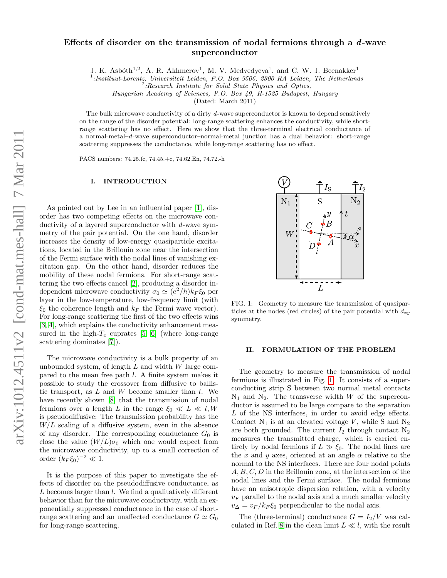# Effects of disorder on the transmission of nodal fermions through a  $d$ -wave superconductor

J. K. Asbóth<sup>1,2</sup>, A. R. Akhmerov<sup>1</sup>, M. V. Medvedyeva<sup>1</sup>, and C. W. J. Beenakker<sup>1</sup>

<sup>1</sup>:Instituut-Lorentz, Universiteit Leiden, P.O. Box 9506, 2300 RA Leiden, The Netherlands

Hungarian Academy of Sciences, P.O. Box 49, H-1525 Budapest, Hungary

(Dated: March 2011)

The bulk microwave conductivity of a dirty d-wave superconductor is known to depend sensitively on the range of the disorder potential: long-range scattering enhances the conductivity, while shortrange scattering has no effect. Here we show that the three-terminal electrical conductance of a normal-metal–d-wave superconductor–normal-metal junction has a dual behavior: short-range scattering suppresses the conductance, while long-range scattering has no effect.

PACS numbers: 74.25.fc, 74.45.+c, 74.62.En, 74.72.-h

### I. INTRODUCTION

As pointed out by Lee in an influential paper [\[1\]](#page-5-0), disorder has two competing effects on the microwave conductivity of a layered superconductor with d-wave symmetry of the pair potential. On the one hand, disorder increases the density of low-energy quasiparticle excitations, located in the Brillouin zone near the intersection of the Fermi surface with the nodal lines of vanishing excitation gap. On the other hand, disorder reduces the mobility of these nodal fermions. For short-range scattering the two effects cancel [\[2\]](#page-5-1), producing a disorder independent microwave conductivity  $\sigma_0 \simeq (e^2/h)k_F \xi_0$  per layer in the low-temperature, low-frequency limit (with  $\xi_0$  the coherence length and  $k_F$  the Fermi wave vector). For long-range scattering the first of the two effects wins [\[3,](#page-5-2) [4\]](#page-5-3), which explains the conductivity enhancement measured in the high- $T_c$  cuprates [\[5,](#page-5-4) [6\]](#page-5-5) (where long-range scattering dominates [\[7\]](#page-5-6)).

The microwave conductivity is a bulk property of an unbounded system, of length  $L$  and width  $W$  large compared to the mean free path l. A finite system makes it possible to study the crossover from diffusive to ballistic transport, as  $L$  and  $W$  become smaller than  $l$ . We have recently shown [\[8\]](#page-5-7) that the transmission of nodal fermions over a length L in the range  $\xi_0 \ll L \ll l$ , W is pseudodiffusive: The transmission probability has the  $W/L$  scaling of a diffusive system, even in the absence of any disorder. The corresponding conductance  $G_0$  is close the value  $(W/L)\sigma_0$  which one would expect from the microwave conductivity, up to a small correction of order  $(k_F \xi_0)^{-2} \ll 1$ .

It is the purpose of this paper to investigate the effects of disorder on the pseudodiffusive conductance, as  $L$  becomes larger than  $l$ . We find a qualitatively different behavior than for the microwave conductivity, with an exponentially suppressed conductance in the case of shortrange scattering and an unaffected conductance  $G \simeq G_0$ for long-range scattering.



<span id="page-0-0"></span>FIG. 1: Geometry to measure the transmission of quasiparticles at the nodes (red circles) of the pair potential with  $d_{xy}$ symmetry.

## II. FORMULATION OF THE PROBLEM

The geometry to measure the transmission of nodal fermions is illustrated in Fig. [1.](#page-0-0) It consists of a superconducting strip S between two normal metal contacts  $N_1$  and  $N_2$ . The transverse width W of the superconductor is assumed to be large compare to the separation L of the NS interfaces, in order to avoid edge effects. Contact  $N_1$  is at an elevated voltage V, while S and  $N_2$ are both grounded. The current  $I_2$  through contact  $N_2$ measures the transmitted charge, which is carried entirely by nodal fermions if  $L \gg \xi_0$ . The nodal lines are the x and y axes, oriented at an angle  $\alpha$  relative to the normal to the NS interfaces. There are four nodal points A, B, C, D in the Brillouin zone, at the intersection of the nodal lines and the Fermi surface. The nodal fermions have an anisotropic dispersion relation, with a velocity  $v_F$  parallel to the nodal axis and a much smaller velocity  $v_{\Delta} = v_F / k_F \xi_0$  perpendicular to the nodal axis.

The (three-terminal) conductance  $G = I_2/V$  was cal-culated in Ref. [8](#page-5-7) in the clean limit  $L \ll l$ , with the result

 $2$ :Research Institute for Solid State Physics and Optics,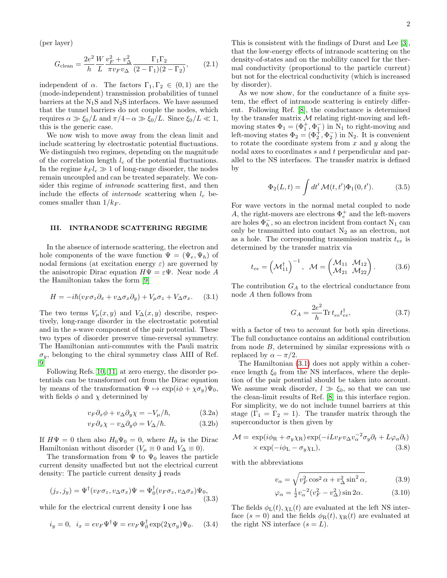(per layer)

<span id="page-1-4"></span>
$$
G_{\text{clean}} = \frac{2e^2}{h} \frac{W}{L} \frac{v_F^2 + v_\Delta^2}{\pi v_F v_\Delta} \frac{\Gamma_1 \Gamma_2}{(2 - \Gamma_1)(2 - \Gamma_2)},\tag{2.1}
$$

independent of  $\alpha$ . The factors  $\Gamma_1, \Gamma_2 \in (0,1)$  are the (mode-independent) transmission probabilities of tunnel barriers at the  $N_1S$  and  $N_2S$  interfaces. We have assumed that the tunnel barriers do not couple the nodes, which requires  $\alpha \gg \xi_0/L$  and  $\pi/4-\alpha \gg \xi_0/L$ . Since  $\xi_0/L \ll 1$ , this is the generic case.

We now wish to move away from the clean limit and include scattering by electrostatic potential fluctuations. We distinguish two regimes, depending on the magnitude of the correlation length  $l_c$  of the potential fluctuations. In the regime  $k_F l_c \gg 1$  of long-range disorder, the nodes remain uncoupled and can be treated separately. We consider this regime of intranode scattering first, and then include the effects of *internode* scattering when  $l_c$  becomes smaller than  $1/k_F$ .

## III. INTRANODE SCATTERING REGIME

In the absence of internode scattering, the electron and hole components of the wave function  $\Psi = (\Psi_e, \Psi_h)$  of nodal fermions (at excitation energy  $\varepsilon$ ) are governed by the anisotropic Dirac equation  $H\Psi = \varepsilon \Psi$ . Near node A the Hamiltonian takes the form [\[9\]](#page-5-8)

<span id="page-1-0"></span>
$$
H = -i\hbar(v_F \sigma_z \partial_x + v_\Delta \sigma_x \partial_y) + V_\mu \sigma_z + V_\Delta \sigma_x. \quad (3.1)
$$

The two terms  $V_\mu(x, y)$  and  $V_\Delta(x, y)$  describe, respectively, long-range disorder in the electrostatic potential and in the s-wave component of the pair potential. These two types of disorder preserve time-reversal symmetry. The Hamiltonian anti-commutes with the Pauli matrix  $\sigma_y$ , belonging to the chiral symmetry class AIII of Ref. [9.](#page-5-8)

Following Refs. [10,](#page-5-9) [11,](#page-5-10) at zero energy, the disorder potentials can be transformed out from the Dirac equation by means of the transformation  $\Psi \mapsto \exp(i\phi + \chi \sigma_y)\Psi_0$ , with fields  $\phi$  and  $\chi$  determined by

<span id="page-1-1"></span>
$$
v_F \partial_x \phi + v_\Delta \partial_y \chi = -V_\mu / \hbar, \tag{3.2a}
$$

$$
v_F \partial_x \chi - v_\Delta \partial_y \phi = V_\Delta / \hbar. \tag{3.2b}
$$

If  $H\Psi = 0$  then also  $H_0\Psi_0 = 0$ , where  $H_0$  is the Dirac Hamiltonian without disorder ( $V_\mu \equiv 0$  and  $V_\Delta \equiv 0$ ).

The transformation from  $\Psi$  to  $\Psi_0$  leaves the particle current density unaffected but not the electrical current density: The particle current density j reads

$$
(j_x, j_y) = \Psi^{\dagger}(v_F \sigma_z, v_\Delta \sigma_x) \Psi = \Psi_0^{\dagger}(v_F \sigma_z, v_\Delta \sigma_x) \Psi_0,
$$
\n(3.3)

while for the electrical current density **i** one has

$$
i_y = 0, \quad i_x = ev_F \Psi^{\dagger} \Psi = ev_F \Psi_0^{\dagger} \exp(2\chi \sigma_y) \Psi_0. \tag{3.4}
$$

This is consistent with the findings of Durst and Lee [\[3\]](#page-5-2), that the low-energy effects of intranode scattering on the density-of-states and on the mobility cancel for the thermal conductivity (proportional to the particle current) but not for the electrical conductivity (which is increased by disorder).

As we now show, for the conductance of a finite system, the effect of intranode scattering is entirely different. Following Ref. [\[8\]](#page-5-7), the conductance is determined by the transfer matrix  $M$  relating right-moving and leftmoving states  $\Phi_1 = (\Phi_1^+, \Phi_1^-)$  in  $N_1$  to right-moving and left-moving states  $\Phi_2 = (\Phi_2^+, \Phi_2^-)$  in N<sub>2</sub>. It is convenient to rotate the coordinate system from  $x$  and  $y$  along the nodal axes to coordinates s and t perpendicular and parallel to the NS interfaces. The transfer matrix is defined by

$$
\Phi_2(L, t) = \int dt' \, \mathcal{M}(t, t') \Phi_1(0, t'). \tag{3.5}
$$

For wave vectors in the normal metal coupled to node A, the right-movers are electrons  $\Phi_e^+$  and the left-movers are holes  $\Phi_h^-$ , so an electron incident from contact N<sub>1</sub> can only be transmitted into contact  $N_2$  as an electron, not as a hole. The corresponding transmission matrix  $t_{ee}$  is determined by the transfer matrix via

$$
t_{ee} = (\mathcal{M}_{11}^{\dagger})^{-1}, \quad \mathcal{M} = (\begin{pmatrix} \mathcal{M}_{11} & \mathcal{M}_{12} \\ \mathcal{M}_{21} & \mathcal{M}_{22} \end{pmatrix}.
$$
 (3.6)

The contribution  $G_A$  to the electrical conductance from node A then follows from

<span id="page-1-3"></span>
$$
G_A = \frac{2e^2}{h} \text{Tr} \, t_{ee} t_{ee}^\dagger,\tag{3.7}
$$

with a factor of two to account for both spin directions. The full conductance contains an additional contribution from node B, determined by similar expressions with  $\alpha$ replaced by  $\alpha - \pi/2$ .

The Hamiltonian [\(3.1\)](#page-1-0) does not apply within a coherence length  $\xi_0$  from the NS interfaces, where the depletion of the pair potential should be taken into account. We assume weak disorder,  $l \gg \xi_0$ , so that we can use the clean-limit results of Ref. [\[8\]](#page-5-7) in this interface region. For simplicity, we do not include tunnel barriers at this stage  $(\Gamma_1 = \Gamma_2 = 1)$ . The transfer matrix through the superconductor is then given by

$$
\mathcal{M} = \exp(i\phi_{\rm R} + \sigma_y \chi_{\rm R}) \exp(-iLv_F v_\Delta v_\alpha^{-2} \sigma_y \partial_t + L\varphi_\alpha \partial_t) \times \exp(-i\phi_{\rm L} - \sigma_y \chi_{\rm L}),
$$
\n(3.8)

with the abbreviations

<span id="page-1-2"></span>
$$
v_{\alpha} = \sqrt{v_F^2 \cos^2 \alpha + v_{\Delta}^2 \sin^2 \alpha},\tag{3.9}
$$

$$
\varphi_{\alpha} = \frac{1}{2}v_{\alpha}^{-2}(v_F^2 - v_{\Delta}^2)\sin 2\alpha.
$$
 (3.10)

The fields  $\phi_{\text{L}}(t), \chi_{\text{L}}(t)$  are evaluated at the left NS interface  $(s = 0)$  and the fields  $\phi_R(t), \chi_R(t)$  are evaluated at the right NS interface  $(s = L)$ .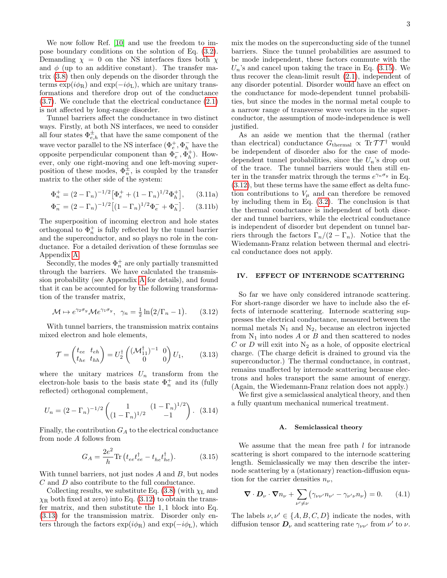We now follow Ref. [\[10\]](#page-5-9) and use the freedom to impose boundary conditions on the solution of Eq. [\(3.2\)](#page-1-1). Demanding  $\chi = 0$  on the NS interfaces fixes both  $\chi$ and  $\phi$  (up to an additive constant). The transfer matrix [\(3.8\)](#page-1-2) then only depends on the disorder through the terms  $\exp(i\phi_R)$  and  $\exp(-i\phi_L)$ , which are unitary transformations and therefore drop out of the conductance [\(3.7\)](#page-1-3). We conclude that the electrical conductance [\(2.1\)](#page-1-4) is not affected by long-range disorder.

Tunnel barriers affect the conductance in two distinct ways. Firstly, at both NS interfaces, we need to consider all four states  $\Phi_{e,h}^{\pm}$  that have the same component of the wave vector parallel to the NS interface  $(\Phi_e^+, \Phi_h^-)$  have the opposite perpendicular component than  $\Phi_e^-, \Phi_h^+$ ). However, only one right-moving and one left-moving superposition of these modes,  $\Phi_n^{\pm}$ , is coupled by the transfer matrix to the other side of the system:

$$
\Phi_n^+ = (2 - \Gamma_n)^{-1/2} \left[ \Phi_e^+ + (1 - \Gamma_n)^{1/2} \Phi_h^+ \right], \qquad (3.11a)
$$

$$
\Phi_n^- = (2 - \Gamma_n)^{-1/2} \left[ (1 - \Gamma_n)^{1/2} \Phi_e^- + \Phi_h^- \right]. \tag{3.11b}
$$

The superposition of incoming electron and hole states orthogonal to  $\Phi_n^+$  is fully reflected by the tunnel barrier and the superconductor, and so plays no role in the conductance. For a detailed derivation of these formulas see Appendix [A.](#page-4-0)

Φ

Secondly, the modes  $\Phi_n^+$  are only partially transmitted through the barriers. We have calculated the transmission probability (see Appendix [A](#page-4-0) for details), and found that it can be accounted for by the following transformation of the transfer matrix,

<span id="page-2-0"></span>
$$
\mathcal{M} \mapsto e^{\gamma_2 \sigma_y} \mathcal{M} e^{\gamma_1 \sigma_y}, \ \ \gamma_n = \frac{1}{2} \ln(2/\Gamma_n - 1). \tag{3.12}
$$

With tunnel barriers, the transmission matrix contains mixed electron and hole elements,

<span id="page-2-1"></span>
$$
\mathcal{T} = \begin{pmatrix} t_{ee} & t_{eh} \\ t_{he} & t_{hh} \end{pmatrix} = U_2^\dagger \begin{pmatrix} (\mathcal{M}_{11}^\dagger)^{-1} & 0 \\ 0 & 0 \end{pmatrix} U_1,\tag{3.13}
$$

where the unitary matrices  $U_n$  transform from the electron-hole basis to the basis state  $\Phi_n^+$  and its (fully reflected) orthogonal complement,

$$
U_n = (2 - \Gamma_n)^{-1/2} \begin{pmatrix} 1 & (1 - \Gamma_n)^{1/2} \\ (1 - \Gamma_n)^{1/2} & -1 \end{pmatrix}.
$$
 (3.14)

Finally, the contribution  $G_A$  to the electrical conductance from node A follows from

<span id="page-2-2"></span>
$$
G_A = \frac{2e^2}{h} \text{Tr} \left( t_{ee} t_{ee}^\dagger - t_{he} t_{he}^\dagger \right). \tag{3.15}
$$

With tunnel barriers, not just nodes A and B, but nodes C and D also contribute to the full conductance.

Collecting results, we substitute Eq.  $(3.8)$  (with  $\chi_L$  and  $\chi_{\rm R}$  both fixed at zero) into Eq. [\(3.12\)](#page-2-0) to obtain the transfer matrix, and then substitute the 1, 1 block into Eq. [\(3.13\)](#page-2-1) for the transmission matrix. Disorder only enters through the factors  $\exp(i\phi_R)$  and  $\exp(-i\phi_L)$ , which

mix the modes on the superconducting side of the tunnel barriers. Since the tunnel probabilities are assumed to be mode independent, these factors commute with the  $U_n$ 's and cancel upon taking the trace in Eq. [\(3.15\)](#page-2-2). We thus recover the clean-limit result [\(2.1\)](#page-1-4), independent of any disorder potential. Disorder would have an effect on the conductance for mode-dependent tunnel probabilities, but since the modes in the normal metal couple to a narrow range of transverse wave vectors in the superconductor, the assumption of mode-independence is well justified.

<span id="page-2-4"></span>As an aside we mention that the thermal (rather than electrical) conductance  $G_{\text{thermal}} \propto \text{Tr} \mathcal{T} \mathcal{T}^{\dagger}$  would be independent of disorder also for the case of modedependent tunnel probabilities, since the  $U_n$ 's drop out of the trace. The tunnel barriers would then still enter in the transfer matrix through the terms  $e^{\gamma_n \sigma_y}$  in Eq. [\(3.12\)](#page-2-0), but these terms have the same effect as delta function contributions to  $V_\mu$  and can therefore be removed by including them in Eq. [\(3.2\)](#page-1-1). The conclusion is that the thermal conductance is independent of both disorder and tunnel barriers, while the electrical conductance is independent of disorder but dependent on tunnel barriers through the factors  $\Gamma_n/(2 - \Gamma_n)$ . Notice that the Wiedemann-Franz relation between thermal and electrical conductance does not apply.

## IV. EFFECT OF INTERNODE SCATTERING

So far we have only considered intranode scattering. For short-range disorder we have to include also the effects of internode scattering. Internode scattering suppresses the electrical conductance, measured between the normal metals  $N_1$  and  $N_2$ , because an electron injected from  $N_1$  into nodes A or B and then scattered to nodes C or D will exit into  $N_2$  as a hole, of opposite electrical charge. (The charge deficit is drained to ground via the superconductor.) The thermal conductance, in contrast, remains unaffected by internode scattering because electrons and holes transport the same amount of energy. (Again, the Wiedemann-Franz relation does not apply.)

We first give a semiclassical analytical theory, and then a fully quantum mechanical numerical treatment.

#### A. Semiclassical theory

We assume that the mean free path  $l$  for intranode scattering is short compared to the internode scattering length. Semiclassically we may then describe the internode scattering by a (stationary) reaction-diffusion equation for the carrier densities  $n_{\nu}$ ,

<span id="page-2-3"></span>
$$
\nabla \cdot \boldsymbol{D}_{\nu} \cdot \boldsymbol{\nabla} n_{\nu} + \sum_{\nu' \neq \nu} \left( \gamma_{\nu \nu'} n_{\nu'} - \gamma_{\nu' \nu} n_{\nu} \right) = 0. \qquad (4.1)
$$

The labels  $\nu, \nu' \in \{A, B, C, D\}$  indicate the nodes, with diffusion tensor  $\mathbf{D}_{\nu}$  and scattering rate  $\gamma_{\nu\nu'}$  from  $\nu'$  to  $\nu$ .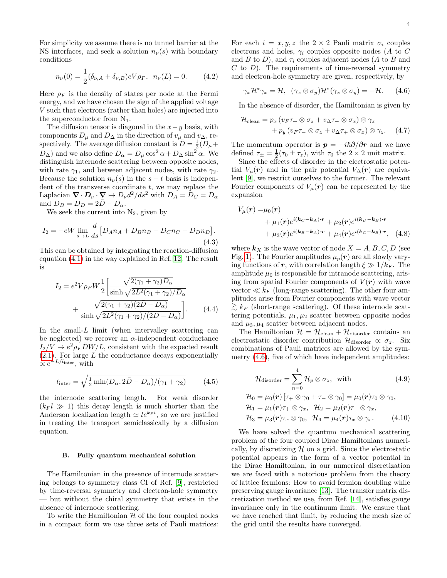For simplicity we assume there is no tunnel barrier at the NS interfaces, and seek a solution  $n_{\nu}(s)$  with boundary conditions

$$
n_{\nu}(0) = \frac{1}{2} (\delta_{\nu,A} + \delta_{\nu,B}) eV \rho_F, \ \ n_{\nu}(L) = 0. \tag{4.2}
$$

Here  $\rho_F$  is the density of states per node at the Fermi energy, and we have chosen the sign of the applied voltage V such that electrons (rather than holes) are injected into the superconductor from  $N_1$ .

The diffusion tensor is diagonal in the  $x-y$  basis, with components  $D_{\mu}$  and  $D_{\Delta}$  in the direction of  $v_{\mu}$  and  $v_{\Delta}$ , respectively. The average diffusion constant is  $\overline{D} = \frac{1}{2} (\overline{D}_{\mu} +$  $D_{\Delta}$ ) and we also define  $D_{\alpha} = D_{\mu} \cos^2 \alpha + D_{\Delta} \sin^2 \alpha$ . We distinguish internode scattering between opposite nodes, with rate  $\gamma_1$ , and between adjacent nodes, with rate  $\gamma_2$ . Because the solution  $n_{\nu}(s)$  in the  $s - t$  basis is independent of the transverse coordinate  $t$ , we may replace the Laplacian  $\nabla \cdot \bm{D}_{\nu} \cdot \nabla \mapsto D_{\nu} d^2/ds^2$  with  $D_A = D_C = D_{\alpha}$ and  $D_B = D_D = 2\overline{D} - D_\alpha$ .

We seek the current into  $N_2$ , given by

$$
I_2 = -eW \lim_{s \to L} \frac{d}{ds} [D_A n_A + D_B n_B - D_C n_C - D_D n_D].
$$
\n(4.3)

This can be obtained by integrating the reaction-diffusion equation [\(4.1\)](#page-2-3) in the way explained in Ref. [12.](#page-5-11) The result is

$$
I_2 = e^2 V \rho_F W \frac{1}{2} \left[ \frac{\sqrt{2(\gamma_1 + \gamma_2)D_\alpha}}{\sinh \sqrt{2L^2(\gamma_1 + \gamma_2)/D_\alpha}} + \frac{\sqrt{2(\gamma_1 + \gamma_2)(2\bar{D} - D_\alpha)}}{\sinh \sqrt{2L^2(\gamma_1 + \gamma_2)/(2\bar{D} - D_\alpha)}} \right].
$$
 (4.4)

In the small- $L$  limit (when intervalley scattering can be neglected) we recover an  $\alpha$ -independent conductance  $I_2/V \rightarrow e^2 \rho_F \bar{D}W/L$ , consistent with the expected result  $(2.1)$ . For large L the conductance decays exponentially  $\propto e^{-L/l_{\text{inter}}}, \text{ with}$ 

$$
l_{\text{inter}} = \sqrt{\frac{1}{2} \min(D_{\alpha}, 2\bar{D} - D_{\alpha})/(\gamma_1 + \gamma_2)}
$$
(4.5)

the internode scattering length. For weak disorder  $(k_F l \gg 1)$  this decay length is much shorter than the Anderson localization length  $\simeq le^{k_F l}$ , so we are justified in treating the transport semiclassically by a diffusion equation.

#### B. Fully quantum mechanical solution

The Hamiltonian in the presence of internode scattering belongs to symmetry class CI of Ref. [\[9\]](#page-5-8), restricted by time-reversal symmetry and electron-hole symmetry — but without the chiral symmetry that exists in the absence of internode scattering.

To write the Hamiltonian  $\mathcal H$  of the four coupled nodes in a compact form we use three sets of Pauli matrices: For each  $i = x, y, z$  the  $2 \times 2$  Pauli matrix  $\sigma_i$  couples electrons and holes,  $\gamma_i$  couples opposite nodes (A to C and B to D), and  $\tau_i$  couples adjacent nodes (A to B and  $C$  to  $D$ ). The requirements of time-reversal symmetry and electron-hole symmetry are given, respectively, by

<span id="page-3-0"></span>
$$
\gamma_x \mathcal{H}^* \gamma_x = \mathcal{H}, \ \ (\gamma_x \otimes \sigma_y) \mathcal{H}^* (\gamma_x \otimes \sigma_y) = -\mathcal{H}. \tag{4.6}
$$

In the absence of disorder, the Hamiltonian is given by

$$
\mathcal{H}_{\text{clean}} = p_x \left( v_F \tau_+ \otimes \sigma_z + v_\Delta \tau_- \otimes \sigma_x \right) \otimes \gamma_z \n+ p_y \left( v_F \tau_- \otimes \sigma_z + v_\Delta \tau_+ \otimes \sigma_x \right) \otimes \gamma_z. \tag{4.7}
$$

The momentum operator is  $p = -i\hbar\partial/\partial r$  and we have defined  $\tau_{\pm} = \frac{1}{2}(\tau_0 \pm \tau_z)$ , with  $\tau_0$  the  $2 \times 2$  unit matrix.

Since the effects of disorder in the electrostatic potential  $V_\mu(\mathbf{r})$  and in the pair potential  $V_\Delta(\mathbf{r})$  are equivalent [\[9\]](#page-5-8), we restrict ourselves to the former. The relevant Fourier components of  $V_\mu(\mathbf{r})$  can be represented by the expansion

$$
V_{\mu}(\boldsymbol{r}) = \mu_0(\boldsymbol{r})
$$
  
+  $\mu_1(\boldsymbol{r})e^{i(\boldsymbol{k}_C - \boldsymbol{k}_A)\cdot \boldsymbol{r}} + \mu_2(\boldsymbol{r})e^{i(\boldsymbol{k}_D - \boldsymbol{k}_B)\cdot \boldsymbol{r}}$   
+  $\mu_3(\boldsymbol{r})e^{i(\boldsymbol{k}_B - \boldsymbol{k}_A)\cdot \boldsymbol{r}} + \mu_4(\boldsymbol{r})e^{i(\boldsymbol{k}_C - \boldsymbol{k}_B)\cdot \boldsymbol{r}},$  (4.8)

where  $k_X$  is the wave vector of node  $X = A, B, C, D$  (see Fig. [1\)](#page-0-0). The Fourier amplitudes  $\mu_p(r)$  are all slowly varying functions of r, with correlation length  $\xi \gg 1/k_F$ . The amplitude  $\mu_0$  is responsible for intranode scattering, arising from spatial Fourier components of  $V(r)$  with wave vector  $\ll k_F$  (long-range scattering). The other four amplitudes arise from Fourier components with wave vector  $\geq k_F$  (short-range scattering). Of these internode scattering potentials,  $\mu_1, \mu_2$  scatter between opposite nodes and  $\mu_3, \mu_4$  scatter between adjacent nodes.

The Hamiltonian  $\mathcal{H} = \mathcal{H}_{clean} + \mathcal{H}_{disorder}$  contains an electrostatic disorder contribution  $\mathcal{H}_{disorder} \propto \sigma_z$ . Six combinations of Pauli matrices are allowed by the symmetry [\(4.6\)](#page-3-0), five of which have independent amplitudes:

$$
\mathcal{H}_{\text{disorder}} = \sum_{n=0}^{4} \mathcal{H}_{p} \otimes \sigma_{z}, \text{ with } (4.9)
$$
\n
$$
\mathcal{H}_{0} = \mu_{0}(\mathbf{r}) \left[ \tau_{+} \otimes \gamma_{0} + \tau_{-} \otimes \gamma_{0} \right] = \mu_{0}(\mathbf{r}) \tau_{0} \otimes \gamma_{0},
$$
\n
$$
\mathcal{H}_{1} = \mu_{1}(\mathbf{r}) \tau_{+} \otimes \gamma_{x}, \quad \mathcal{H}_{2} = \mu_{2}(\mathbf{r}) \tau_{-} \otimes \gamma_{x},
$$
\n(4.9)

$$
\mathcal{H}_3 = \mu_3(\mathbf{r})\tau_x \otimes \gamma_0, \quad \mathcal{H}_4 = \mu_4(\mathbf{r})\tau_x \otimes \gamma_x. \tag{4.10}
$$

We have solved the quantum mechanical scattering problem of the four coupled Dirac Hamiltonians numerically, by discretizing  $H$  on a grid. Since the electrostatic potential appears in the form of a vector potential in the Dirac Hamiltonian, in our numerical discretization we are faced with a notorious problem from the theory of lattice fermions: How to avoid fermion doubling while preserving gauge invariance [\[13\]](#page-5-12). The transfer matrix discretization method we use, from Ref. [\[14\]](#page-5-13), satisfies gauge invariance only in the continuum limit. We ensure that we have reached that limit, by reducing the mesh size of the grid until the results have converged.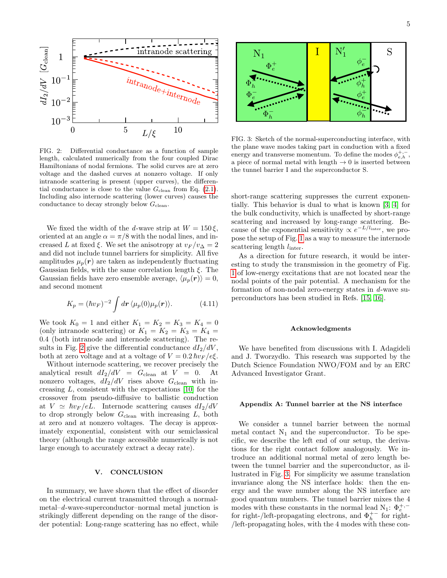

<span id="page-4-1"></span>FIG. 2: Differential conductance as a function of sample length, calculated numerically from the four coupled Dirac Hamiltonians of nodal fermions. The solid curves are at zero voltage and the dashed curves at nonzero voltage. If only intranode scattering is present (upper curves), the differential conductance is close to the value  $G_{clean}$  from Eq. [\(2.1\)](#page-1-4). Including also internode scattering (lower curves) causes the conductance to decay strongly below  $G_{clean}$ .

We fixed the width of the d-wave strip at  $W = 150 \xi$ , oriented at an angle  $\alpha = \pi/8$  with the nodal lines, and increased L at fixed  $\xi$ . We set the anisotropy at  $v_F/v_{\Delta} = 2$ and did not include tunnel barriers for simplicity. All five amplitudes  $\mu_p(r)$  are taken as independently fluctuating Gaussian fields, with the same correlation length  $\xi$ . The Gaussian fields have zero ensemble average,  $\langle \mu_p(\mathbf{r}) \rangle = 0$ , and second moment

$$
K_p = (\hbar v_F)^{-2} \int d\mathbf{r} \, \langle \mu_p(0) \mu_p(\mathbf{r}) \rangle. \tag{4.11}
$$

We took  $K_0 = 1$  and either  $K_1 = K_2 = K_3 = K_4 = 0$ (only intranode scattering) or  $K_1 = K_2 = K_3 = K_4 =$ 0.4 (both intranode and internode scattering). The re-sults in Fig. [2](#page-4-1) give the differential conductance  $dI_2/dV$ , both at zero voltage and at a voltage of  $V = 0.2 \hbar v_F / e \xi$ .

Without internode scattering, we recover precisely the analytical result  $dI_2/dV = G_{clean}$  at  $V = 0$ . At nonzero voltages,  $dI_2/dV$  rises above  $G_{\text{clean}}$  with increasing  $L$ , consistent with the expectations [\[10\]](#page-5-9) for the crossover from pseudo-diffusive to ballistic conduction at  $V \simeq \hbar v_F / eL$ . Internode scattering causes  $dI_2/dV$ to drop strongly below  $G_{clean}$  with increasing  $L$ , both at zero and at nonzero voltages. The decay is approximately exponential, consistent with our semiclassical theory (although the range accessible numerically is not large enough to accurately extract a decay rate).

## V. CONCLUSION

In summary, we have shown that the effect of disorder on the electrical current transmitted through a normalmetal–d-wave-superconductor–normal metal junction is strikingly different depending on the range of the disorder potential: Long-range scattering has no effect, while



<span id="page-4-2"></span>FIG. 3: Sketch of the normal-superconducting interface, with the plane wave modes taking part in conduction with a fixed energy and transverse momentum. To define the modes  $\phi_{e,h}^{+,-}$ , a piece of normal metal with length  $\rightarrow 0$  is inserted between the tunnel barrier I and the superconductor S.

short-range scattering suppresses the current exponentially. This behavior is dual to what is known [\[3,](#page-5-2) [4\]](#page-5-3) for the bulk conductivity, which is unaffected by short-range scattering and increased by long-range scattering. Because of the exponential sensitivity  $\propto e^{-L/l_{\text{inter}}},$  we propose the setup of Fig. [1](#page-0-0) as a way to measure the internode scattering length  $l_{\text{inter}}$ .

As a direction for future research, it would be interesting to study the transmission in the geometry of Fig. [1](#page-0-0) of low-energy excitations that are not located near the nodal points of the pair potential. A mechanism for the formation of non-nodal zero-energy states in d-wave superconductors has been studied in Refs. [\[15,](#page-5-14) [16\]](#page-5-15).

#### Acknowledgments

We have benefited from discussions with I. Adagideli and J. Tworzydlo. This research was supported by the Dutch Science Foundation NWO/FOM and by an ERC Advanced Investigator Grant.

#### <span id="page-4-0"></span>Appendix A: Tunnel barrier at the NS interface

We consider a tunnel barrier between the normal metal contact  $N_1$  and the superconductor. To be specific, we describe the left end of our setup, the derivations for the right contact follow analogously. We introduce an additional normal metal of zero length between the tunnel barrier and the superconductor, as illustrated in Fig. [3.](#page-4-2) For simplicity we assume translation invariance along the NS interface holds: then the energy and the wave number along the NS interface are good quantum numbers. The tunnel barrier mixes the 4 modes with these constants in the normal lead N<sub>1</sub>:  $\Phi_e^{+,-}$ for right-/left-propagating electrons, and  $\Phi_h^{+-}$  for right-/left-propagating holes, with the 4 modes with these con